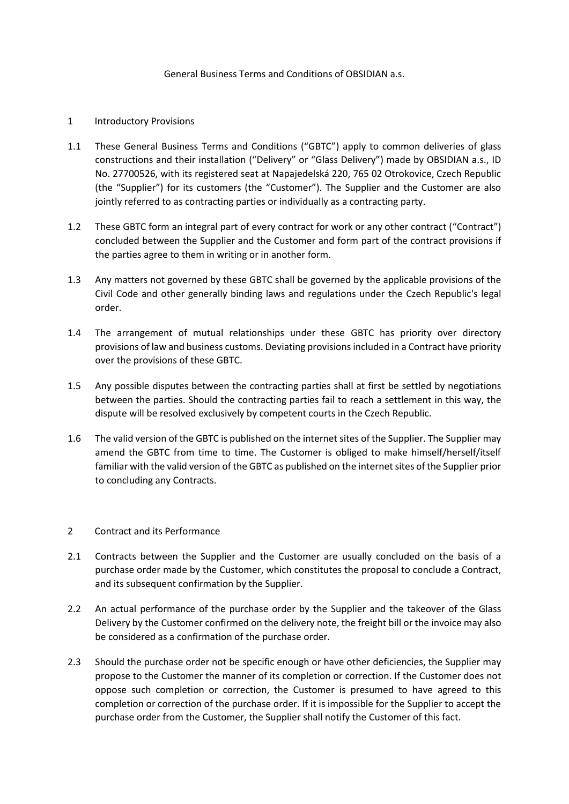## General Business Terms and Conditions of OBSIDIAN a.s.

### 1 Introductory Provisions

- 1.1 These General Business Terms and Conditions ("GBTC") apply to common deliveries of glass constructions and their installation ("Delivery" or "Glass Delivery") made by OBSIDIAN a.s., ID No. 27700526, with its registered seat at Napajedelská 220, 765 02 Otrokovice, Czech Republic (the "Supplier") for its customers (the "Customer"). The Supplier and the Customer are also jointly referred to as contracting parties or individually as a contracting party.
- 1.2 These GBTC form an integral part of every contract for work or any other contract ("Contract") concluded between the Supplier and the Customer and form part of the contract provisions if the parties agree to them in writing or in another form.
- 1.3 Any matters not governed by these GBTC shall be governed by the applicable provisions of the Civil Code and other generally binding laws and regulations under the Czech Republic's legal order.
- 1.4 The arrangement of mutual relationships under these GBTC has priority over directory provisions of law and business customs. Deviating provisions included in a Contract have priority over the provisions of these GBTC.
- 1.5 Any possible disputes between the contracting parties shall at first be settled by negotiations between the parties. Should the contracting parties fail to reach a settlement in this way, the dispute will be resolved exclusively by competent courts in the Czech Republic.
- 1.6 The valid version of the GBTC is published on the internet sites of the Supplier. The Supplier may amend the GBTC from time to time. The Customer is obliged to make himself/herself/itself familiar with the valid version of the GBTC as published on the internet sites of the Supplier prior to concluding any Contracts.

### 2 Contract and its Performance

- 2.1 Contracts between the Supplier and the Customer are usually concluded on the basis of a purchase order made by the Customer, which constitutes the proposal to conclude a Contract, and its subsequent confirmation by the Supplier.
- 2.2 An actual performance of the purchase order by the Supplier and the takeover of the Glass Delivery by the Customer confirmed on the delivery note, the freight bill or the invoice may also be considered as a confirmation of the purchase order.
- 2.3 Should the purchase order not be specific enough or have other deficiencies, the Supplier may propose to the Customer the manner of its completion or correction. If the Customer does not oppose such completion or correction, the Customer is presumed to have agreed to this completion or correction of the purchase order. If it is impossible for the Supplier to accept the purchase order from the Customer, the Supplier shall notify the Customer of this fact.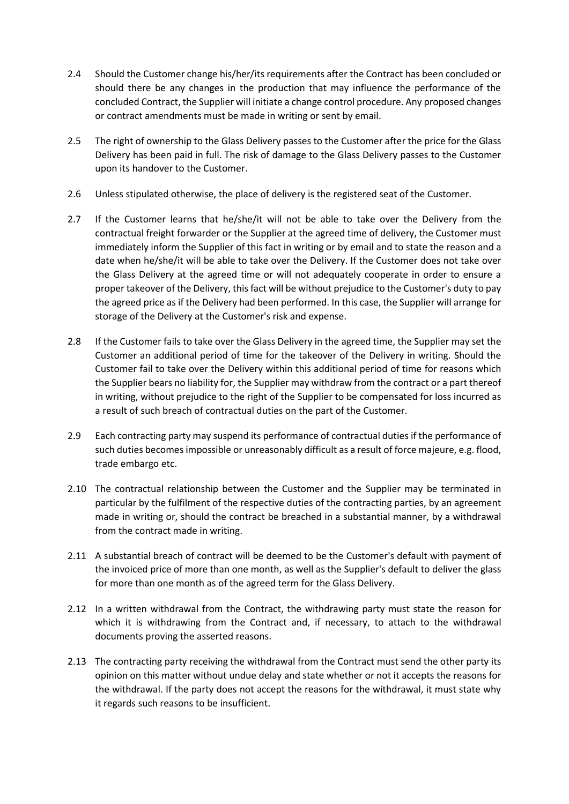- 2.4 Should the Customer change his/her/its requirements after the Contract has been concluded or should there be any changes in the production that may influence the performance of the concluded Contract, the Supplier will initiate a change control procedure. Any proposed changes or contract amendments must be made in writing or sent by email.
- 2.5 The right of ownership to the Glass Delivery passes to the Customer after the price for the Glass Delivery has been paid in full. The risk of damage to the Glass Delivery passes to the Customer upon its handover to the Customer.
- 2.6 Unless stipulated otherwise, the place of delivery is the registered seat of the Customer.
- 2.7 If the Customer learns that he/she/it will not be able to take over the Delivery from the contractual freight forwarder or the Supplier at the agreed time of delivery, the Customer must immediately inform the Supplier of this fact in writing or by email and to state the reason and a date when he/she/it will be able to take over the Delivery. If the Customer does not take over the Glass Delivery at the agreed time or will not adequately cooperate in order to ensure a proper takeover of the Delivery, this fact will be without prejudice to the Customer's duty to pay the agreed price as if the Delivery had been performed. In this case, the Supplier will arrange for storage of the Delivery at the Customer's risk and expense.
- 2.8 If the Customer fails to take over the Glass Delivery in the agreed time, the Supplier may set the Customer an additional period of time for the takeover of the Delivery in writing. Should the Customer fail to take over the Delivery within this additional period of time for reasons which the Supplier bears no liability for, the Supplier may withdraw from the contract or a part thereof in writing, without prejudice to the right of the Supplier to be compensated for loss incurred as a result of such breach of contractual duties on the part of the Customer.
- 2.9 Each contracting party may suspend its performance of contractual duties if the performance of such duties becomes impossible or unreasonably difficult as a result of force majeure, e.g. flood, trade embargo etc.
- 2.10 The contractual relationship between the Customer and the Supplier may be terminated in particular by the fulfilment of the respective duties of the contracting parties, by an agreement made in writing or, should the contract be breached in a substantial manner, by a withdrawal from the contract made in writing.
- 2.11 A substantial breach of contract will be deemed to be the Customer's default with payment of the invoiced price of more than one month, as well as the Supplier's default to deliver the glass for more than one month as of the agreed term for the Glass Delivery.
- 2.12 In a written withdrawal from the Contract, the withdrawing party must state the reason for which it is withdrawing from the Contract and, if necessary, to attach to the withdrawal documents proving the asserted reasons.
- 2.13 The contracting party receiving the withdrawal from the Contract must send the other party its opinion on this matter without undue delay and state whether or not it accepts the reasons for the withdrawal. If the party does not accept the reasons for the withdrawal, it must state why it regards such reasons to be insufficient.